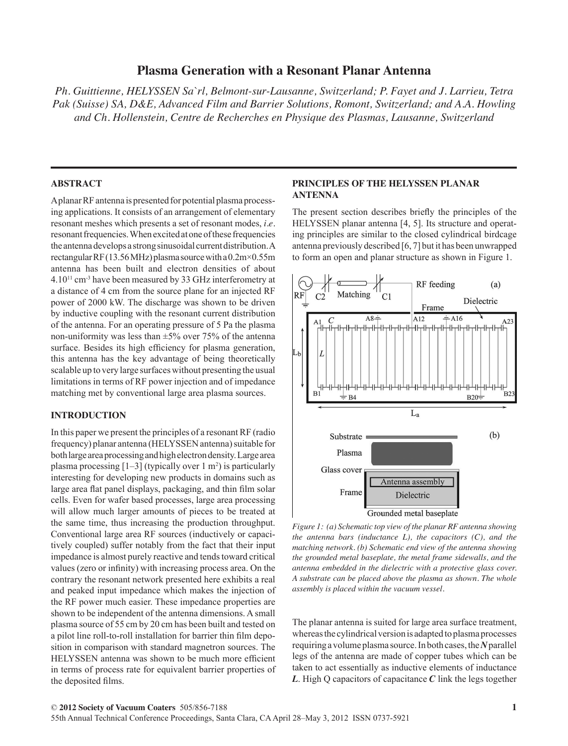# **Plasma Generation with a Resonant Planar Antenna**

*Ph. Guittienne, HELYSSEN Sa`rl, Belmont-sur-Lausanne, Switzerland; P. Fayet and J. Larrieu, Tetra Pak (Suisse) SA, D&E, Advanced Film and Barrier Solutions, Romont, Switzerland; and A.A. Howling and Ch. Hollenstein, Centre de Recherches en Physique des Plasmas, Lausanne, Switzerland*

## **ABSTRACT**

A planar RF antenna is presented for potential plasma processing applications. It consists of an arrangement of elementary resonant meshes which presents a set of resonant modes, *i.e.* resonant frequencies. When excited at one of these frequencies the antenna develops a strong sinusoidal current distribution. A rectangular RF (13.56 MHz) plasma source with a 0.2m×0.55m antenna has been built and electron densities of about 4.1011 cm-3 have been measured by 33 GHz interferometry at a distance of 4 cm from the source plane for an injected RF power of 2000 kW. The discharge was shown to be driven by inductive coupling with the resonant current distribution of the antenna. For an operating pressure of 5 Pa the plasma non-uniformity was less than  $\pm 5\%$  over 75% of the antenna surface. Besides its high efficiency for plasma generation, this antenna has the key advantage of being theoretically scalable up to very large surfaces without presenting the usual limitations in terms of RF power injection and of impedance matching met by conventional large area plasma sources.

# **INTRODUCTION**

In this paper we present the principles of a resonant RF (radio frequency) planar antenna (HELYSSEN antenna) suitable for both large area processing and high electron density. Large area plasma processing  $[1-3]$  (typically over 1 m<sup>2</sup>) is particularly interesting for developing new products in domains such as large area flat panel displays, packaging, and thin film solar cells. Even for wafer based processes, large area processing will allow much larger amounts of pieces to be treated at the same time, thus increasing the production throughput. Conventional large area RF sources (inductively or capacitively coupled) suffer notably from the fact that their input impedance is almost purely reactive and tends toward critical values (zero or infinity) with increasing process area. On the contrary the resonant network presented here exhibits a real and peaked input impedance which makes the injection of the RF power much easier. These impedance properties are shown to be independent of the antenna dimensions. A small plasma source of 55 cm by 20 cm has been built and tested on a pilot line roll-to-roll installation for barrier thin film deposition in comparison with standard magnetron sources. The HELYSSEN antenna was shown to be much more efficient in terms of process rate for equivalent barrier properties of the deposited films.

## **PRINCIPLES OF THE HELYSSEN PLANAR ANTENNA**

The present section describes briefly the principles of the HELYSSEN planar antenna [4, 5]. Its structure and operating principles are similar to the closed cylindrical birdcage antenna previously described [6, 7] but it has been unwrapped to form an open and planar structure as shown in Figure 1.



*Figure 1: (a) Schematic top view of the planar RF antenna showing the antenna bars (inductance L), the capacitors (C), and the matching network. (b) Schematic end view of the antenna showing the grounded metal baseplate, the metal frame sidewalls, and the antenna embedded in the dielectric with a protective glass cover. A substrate can be placed above the plasma as shown. The whole assembly is placed within the vacuum vessel.*

The planar antenna is suited for large area surface treatment, whereas the cylindrical version is adapted to plasma processes requiring a volume plasma source. In both cases, the *N* parallel legs of the antenna are made of copper tubes which can be taken to act essentially as inductive elements of inductance *L*. High Q capacitors of capacitance *C* link the legs together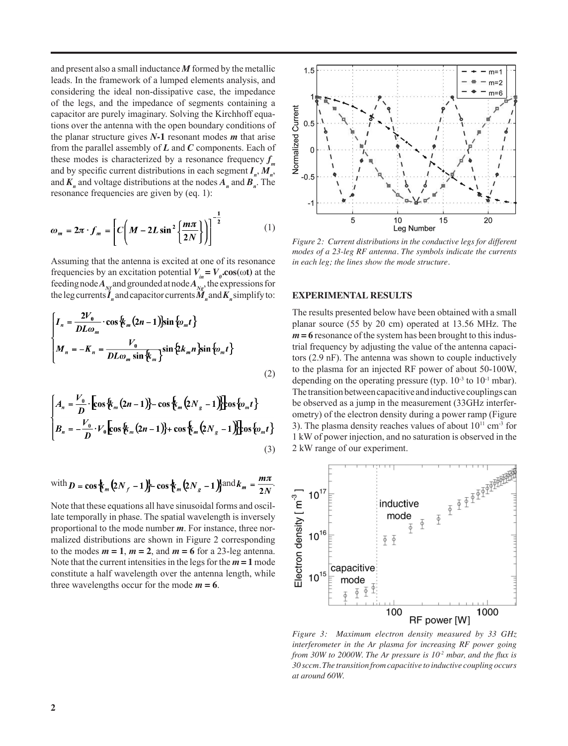and present also a small inductance *M* formed by the metallic leads. In the framework of a lumped elements analysis, and considering the ideal non-dissipative case, the impedance of the legs, and the impedance of segments containing a capacitor are purely imaginary. Solving the Kirchhoff equations over the antenna with the open boundary conditions of the planar structure gives *N***-1** resonant modes *m* that arise from the parallel assembly of *L* and *C* components. Each of these modes is characterized by a resonance frequency  $f_m$ and by specific current distributions in each segment  $I_n$ ,  $M_n$ , and  $K_n$  and voltage distributions at the nodes  $A_n$  and  $B_n$ . The resonance frequencies are given by (eq. 1):

$$
\omega_m = 2\pi \cdot f_m = \left[ C \left( M - 2L \sin^2 \left\{ \frac{m\pi}{2N} \right\} \right) \right]^{-\frac{1}{2}} \tag{1}
$$

Assuming that the antenna is excited at one of its resonance frequencies by an excitation potential  $V_{in} = V_o \cos(\omega t)$  at the feeding node  $A_{N_f}$  and grounded at node  $A_{N_g}$ , the expressions for the leg currents  $\dot{\mathbf{I}}_n$  and capacitor currents  $\dot{\mathbf{M}}_n$  and  $\mathbf{K}_n$  simplify to:

$$
\begin{cases}\nI_n = \frac{2V_0}{DL\omega_m} \cdot \cos\left(\frac{L}{m}(2n-1)\right) \sin\left\{\omega_m t\right\} \\
M_n = -K_n = \frac{V_0}{DL\omega_m \sin\left(\frac{L}{m}\right)} \sin\left(\frac{L}{m}n\right) \sin\left\{\omega_m t\right\}\n\end{cases}
$$
\n(2)

$$
\begin{cases}\nA_n = \frac{V_0}{D} \cdot \left[ \cos \left\{ \frac{k}{m} (2n-1) \right\} - \cos \left\{ \frac{k}{m} (2N_g - 1) \right\} \right] \cos \left\{ \omega_m t \right\} \\
B_n = -\frac{V_0}{D} \cdot V_0 \left[ \cos \left\{ \frac{k}{m} (2n-1) \right\} + \cos \left\{ \frac{k}{m} (2N_g - 1) \right\} \right] \cos \left\{ \omega_m t \right\} \\
(3)\n\end{cases}
$$

with 
$$
\mathbf{D} = \cos \frac{1}{2} m \left( 2N_f - 1 \right) - \cos \frac{1}{2} m \left( 2N_g - 1 \right)
$$
 and  $k_m = \frac{m \pi}{2N}$ .

Note that these equations all have sinusoidal forms and oscillate temporally in phase. The spatial wavelength is inversely proportional to the mode number *m*. For instance, three normalized distributions are shown in Figure 2 corresponding to the modes  $m = 1$ ,  $m = 2$ , and  $m = 6$  for a 23-leg antenna. Note that the current intensities in the legs for the  $m = 1$  mode constitute a half wavelength over the antenna length, while three wavelengths occur for the mode  $m = 6$ .



*Figure 2: Current distributions in the conductive legs for different modes of a 23-leg RF antenna. The symbols indicate the currents in each leg; the lines show the mode structure.*

#### **EXPERIMENTAL RESULTS**

The results presented below have been obtained with a small planar source (55 by 20 cm) operated at 13.56 MHz. The  $m = 6$  resonance of the system has been brought to this industrial frequency by adjusting the value of the antenna capacitors (2.9 nF). The antenna was shown to couple inductively to the plasma for an injected RF power of about 50-100W, depending on the operating pressure (typ.  $10^{-3}$  to  $10^{-1}$  mbar). The transition between capacitive and inductive couplings can be observed as a jump in the measurement (33GHz interferometry) of the electron density during a power ramp (Figure 3). The plasma density reaches values of about  $10^{11}$  cm<sup>-3</sup> for 1 kW of power injection, and no saturation is observed in the 2 kW range of our experiment.



*Figure 3: Maximum electron density measured by 33 GHz interferometer in the Ar plasma for increasing RF power going from 30W to 2000W. The Ar pressure is 10<sup>2</sup> mbar, and the flux is 30 sccm. The transition from capacitive to inductive coupling occurs at around 60W.*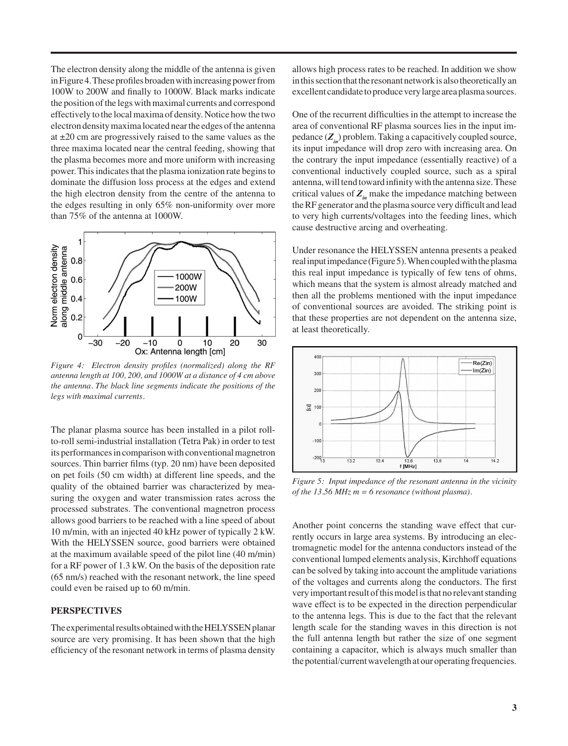The electron density along the middle of the antenna is given in Figure 4. These profiles broaden with increasing power from 100W to 200W and finally to 1000W. Black marks indicate the position of the legs with maximal currents and correspond effectively to the local maxima of density. Notice how the two electron density maxima located near the edges of the antenna at ±20 cm are progressively raised to the same values as the three maxima located near the central feeding, showing that the plasma becomes more and more uniform with increasing power. This indicates that the plasma ionization rate begins to dominate the diffusion loss process at the edges and extend the high electron density from the centre of the antenna to the edges resulting in only 65% non-uniformity over more than 75% of the antenna at 1000W.



*Figure 4: Electron density profiles (normalized) along the RF antenna length at 100, 200, and 1000W at a distance of 4 cm above the antenna. The black line segments indicate the positions of the legs with maximal currents.*

The planar plasma source has been installed in a pilot rollto-roll semi-industrial installation (Tetra Pak) in order to test its performances in comparison with conventional magnetron sources. Thin barrier films (typ. 20 nm) have been deposited on pet foils (50 cm width) at different line speeds, and the quality of the obtained barrier was characterized by measuring the oxygen and water transmission rates across the processed substrates. The conventional magnetron process allows good barriers to be reached with a line speed of about 10 m/min, with an injected 40 kHz power of typically 2 kW. With the HELYSSEN source, good barriers were obtained at the maximum available speed of the pilot line (40 m/min) for a RF power of 1.3 kW. On the basis of the deposition rate (65 nm/s) reached with the resonant network, the line speed could even be raised up to 60 m/min.

## **PERSPECTIVES**

The experimental results obtained with the HELYSSEN planar source are very promising. It has been shown that the high efficiency of the resonant network in terms of plasma density allows high process rates to be reached. In addition we show in this section that the resonant network is also theoretically an excellent candidate to produce very large area plasma sources.

One of the recurrent difficulties in the attempt to increase the area of conventional RF plasma sources lies in the input impedance  $(Z_{i})$  problem. Taking a capacitively coupled source, its input impedance will drop zero with increasing area. On the contrary the input impedance (essentially reactive) of a conventional inductively coupled source, such as a spiral antenna, will tend toward infinity with the antenna size. These critical values of  $Z_{in}$  make the impedance matching between the RF generator and the plasma source very difficult and lead to very high currents/voltages into the feeding lines, which cause destructive arcing and overheating.

Under resonance the HELYSSEN antenna presents a peaked real input impedance (Figure 5). When coupled with the plasma this real input impedance is typically of few tens of ohms, which means that the system is almost already matched and then all the problems mentioned with the input impedance of conventional sources are avoided. The striking point is that these properties are not dependent on the antenna size, at least theoretically.



*Figure 5: Input impedance of the resonant antenna in the vicinity of the 13.56 MHz m = 6 resonance (without plasma).* 

Another point concerns the standing wave effect that currently occurs in large area systems. By introducing an electromagnetic model for the antenna conductors instead of the conventional lumped elements analysis, Kirchhoff equations can be solved by taking into account the amplitude variations of the voltages and currents along the conductors. The first very important result of this model is that no relevant standing wave effect is to be expected in the direction perpendicular to the antenna legs. This is due to the fact that the relevant length scale for the standing waves in this direction is not the full antenna length but rather the size of one segment containing a capacitor, which is always much smaller than the potential/current wavelength at our operating frequencies.